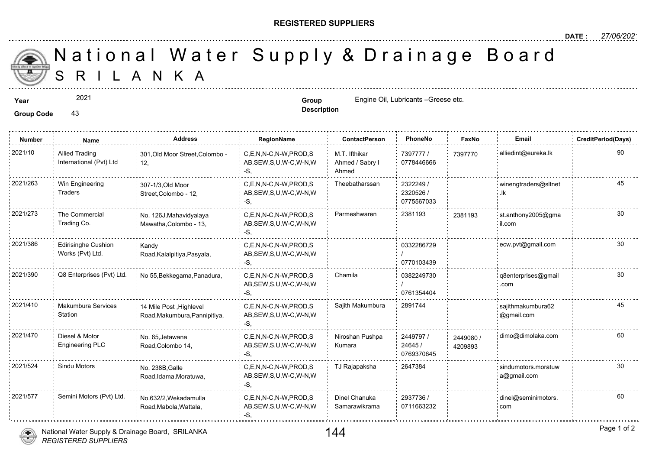## **REGISTERED SUPPLIERS**

**Description**

A N K A National Water Supply & Drainage

## **Year Group** Engine Oil, Lubricants –Greese etc.

Group Code 43

2021

**Number Name Address RegionName ContactPerson PhoneNo FaxNo Email CreditPeriod(Days)** 7397777 / 73977 0778446666 M.T. Ifthikar Ahmed / Sabry l Ahmed C,E,N,N-C,N-W,PROD,S AB,SEW,S,U,W-C,W-N,W -S, 2021/10 Allied Trading 301,Old Moor Street,Colombo - C,E,N,N-C,N-W,PROD,S M.T. Ifthikar 7397777 / 739777 12, Allied Trading International (Pvt) Ltd 2322249 / 2320526 / 0775567033 2021/263 Win Engineering 307-1/3,Old Moor C,E,N,N-C,N-W,PROD,S Theebatharssan 2322249 / AB,SEW,S,U,W-C,W-N,W -S, 307-1/3,Old Moor Street,Colombo - 12, Win Engineering **Traders** 2021/273 The Commercial No. 126J,Mahavidyalaya C,E,N,N-C,N-W,PROD,S Parmeshwaren 2381193 238119 AB,SEW,S,U,W-C,W-N,W -S, No. 126J,Mahavidyalaya Mawatha,Colombo - 13, The Commercial Trading Co. 238119 0332286729 / 0770103439 2021/386 Edirisinghe Cushion Kandy C,E,N,N-C,N-W,PROD,S 0332286729 AB,SEW,S,U,W-C,W-N,W -S, Kandy Road,Kalalpitiya,Pasyala, Edirisinghe Cushion Works (Pvt) Ltd. 0382249730 / 0761354404 C,E,N,N-C,N-W,PROD,S : Chamila AB,SEW,S,U,W-C,W-N,W -S, 2021/390 Q8 Enterprises (Pvt) Ltd. No 55, Bekkegama, Panadura, 2021/410 Makumbura Services 14 Mile Post Highlevel C,E,N,N-C,N-W,PROD,S Sajith Makumbura 2891744 AB,SEW,S,U,W-C,W-N,W -S, 14 Mile Post ,Highlevel Road,Makumbura,Pannipitiya, Makumbura Services **Station** 2449797 / 24490 24645 / 0769370645 Niroshan Pushpa Kumara 2021/470 Diesel & Motor No. 65,Jetawana C,E,N,N-C,N-W,PROD,S Niroshan Pushpa 2449797 / 244908 AB,SEW,S,U,W-C,W-N,W -S, No. 65,Jetawana Road,Colombo 14, Diesel & Motor Engineering PLC 420989 2021/524 Sindu Motors No. 238B Galle C,E,N,N-C,N-W,PROD,S TJ Rajapaksha 2647384 AB,SEW,S,U,W-C,W-N,W  $-S$ No. 238B,Galle Road,Idama,Moratuwa, 2937736 / 0711663232 Dinel Chanuka Samarawikrama 2021/577 Semini Motors (Pvt) Ltd. dinel of a book and a controlled a controlled by the chanuka and the chanuka AB,SEW,S,U,W-C,W-N,W -S, No.632/2,Wekadamulla Road,Mabola,Wattala,